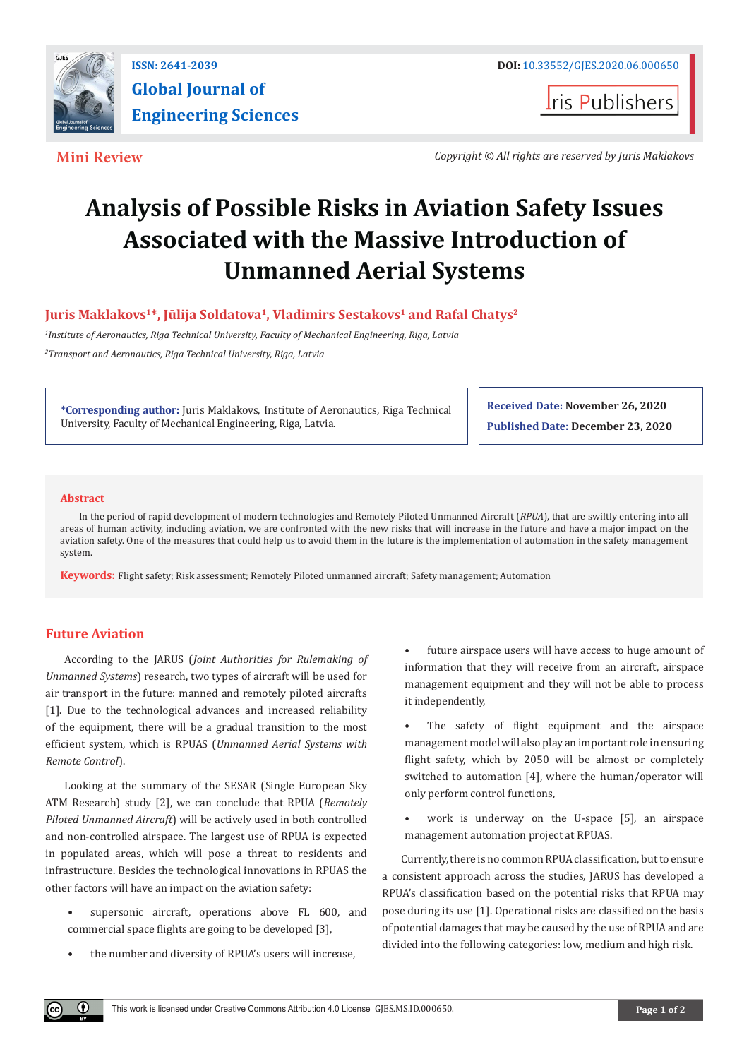

**I**ris Publishers

**Mini Review** *Copyright © All rights are reserved by Juris Maklakovs*

# **Analysis of Possible Risks in Aviation Safety Issues Associated with the Massive Introduction of Unmanned Aerial Systems**

Juris Maklakovs<sup>1\*</sup>, Jūlija Soldatova<sup>1</sup>, Vladimirs Sestakovs<sup>1</sup> and Rafal Chatys<sup>2</sup>

*1 Institute of Aeronautics, Riga Technical University, Faculty of Mechanical Engineering, Riga, Latvia 2 Transport and Aeronautics, Riga Technical University, Riga, Latvia*

**\*Corresponding author:** Juris Maklakovs, Institute of Aeronautics, Riga Technical University, Faculty of Mechanical Engineering, Riga, Latvia.

**Received Date: November 26, 2020 Published Date: December 23, 2020**

## **Abstract**

In the period of rapid development of modern technologies and Remotely Piloted Unmanned Aircraft (*RPUA*), that are swiftly entering into all areas of human activity, including aviation, we are confronted with the new risks that will increase in the future and have a major impact on the aviation safety. One of the measures that could help us to avoid them in the future is the implementation of automation in the safety management system.

**Keywords:** Flight safety; Risk assessment; Remotely Piloted unmanned aircraft; Safety management; Automation

# **Future Aviation**

 $\left( \mathbf{r} \right)$ 

According to the JARUS (*Joint Authorities for Rulemaking of Unmanned Systems*) research, two types of aircraft will be used for air transport in the future: manned and remotely piloted aircrafts [1]. Due to the technological advances and increased reliability of the equipment, there will be a gradual transition to the most efficient system, which is RPUAS (*Unmanned Aerial Systems with Remote Control*).

Looking at the summary of the SESAR (Single European Sky ATM Research) study [2], we can conclude that RPUA (*Remotely Piloted Unmanned Aircraft*) will be actively used in both controlled and non-controlled airspace. The largest use of RPUA is expected in populated areas, which will pose a threat to residents and infrastructure. Besides the technological innovations in RPUAS the other factors will have an impact on the aviation safety:

- supersonic aircraft, operations above FL 600, and commercial space flights are going to be developed [3],
- the number and diversity of RPUA's users will increase,

• future airspace users will have access to huge amount of information that they will receive from an aircraft, airspace management equipment and they will not be able to process it independently,

• The safety of flight equipment and the airspace management model will also play an important role in ensuring flight safety, which by 2050 will be almost or completely switched to automation [4], where the human/operator will only perform control functions,

work is underway on the U-space [5], an airspace management automation project at RPUAS.

Currently, there is no common RPUA classification, but to ensure a consistent approach across the studies, JARUS has developed a RPUA's classification based on the potential risks that RPUA may pose during its use [1]. Operational risks are classified on the basis of potential damages that may be caused by the use of RPUA and are divided into the following categories: low, medium and high risk.